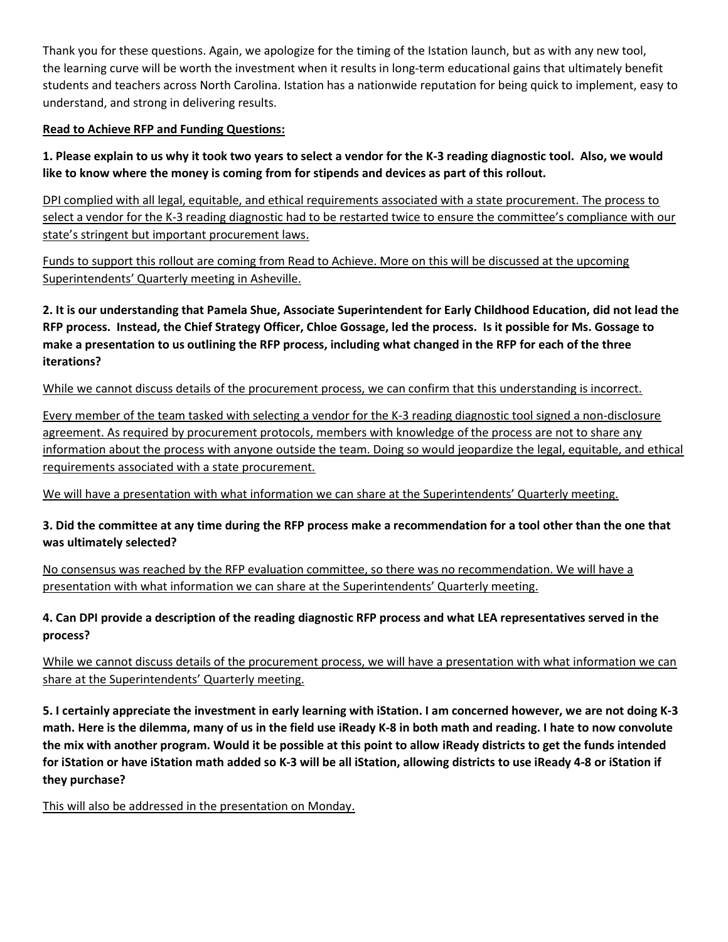Thank you for these questions. Again, we apologize for the timing of the Istation launch, but as with any new tool, the learning curve will be worth the investment when it results in long-term educational gains that ultimately benefit students and teachers across North Carolina. Istation has a nationwide reputation for being quick to implement, easy to understand, and strong in delivering results.

#### Read to Achieve RFP and Funding Questions:

1. Please explain to us why it took two years to select a vendor for the K-3 reading diagnostic tool. Also, we would like to know where the money is coming from for stipends and devices as part of this rollout.

DPI complied with all legal, equitable, and ethical requirements associated with a state procurement. The process to select a vendor for the K-3 reading diagnostic had to be restarted twice to ensure the committee's compliance with our state's stringent but important procurement laws.

Funds to support this rollout are coming from Read to Achieve. More on this will be discussed at the upcoming Superintendents' Quarterly meeting in Asheville.

2. It is our understanding that Pamela Shue, Associate Superintendent for Early Childhood Education, did not lead the RFP process. Instead, the Chief Strategy Officer, Chloe Gossage, led the process. Is it possible for Ms. Gossage to make a presentation to us outlining the RFP process, including what changed in the RFP for each of the three iterations?

While we cannot discuss details of the procurement process, we can confirm that this understanding is incorrect.

Every member of the team tasked with selecting a vendor for the K-3 reading diagnostic tool signed a non-disclosure agreement. As required by procurement protocols, members with knowledge of the process are not to share any information about the process with anyone outside the team. Doing so would jeopardize the legal, equitable, and ethical requirements associated with a state procurement.

We will have a presentation with what information we can share at the Superintendents' Quarterly meeting.

# 3. Did the committee at any time during the RFP process make a recommendation for a tool other than the one that was ultimately selected?

No consensus was reached by the RFP evaluation committee, so there was no recommendation. We will have a presentation with what information we can share at the Superintendents' Quarterly meeting.

# 4. Can DPI provide a description of the reading diagnostic RFP process and what LEA representatives served in the process?

While we cannot discuss details of the procurement process, we will have a presentation with what information we can share at the Superintendents' Quarterly meeting.

5. I certainly appreciate the investment in early learning with iStation. I am concerned however, we are not doing K-3 math. Here is the dilemma, many of us in the field use iReady K-8 in both math and reading. I hate to now convolute the mix with another program. Would it be possible at this point to allow iReady districts to get the funds intended for iStation or have iStation math added so K-3 will be all iStation, allowing districts to use iReady 4-8 or iStation if they purchase?

This will also be addressed in the presentation on Monday.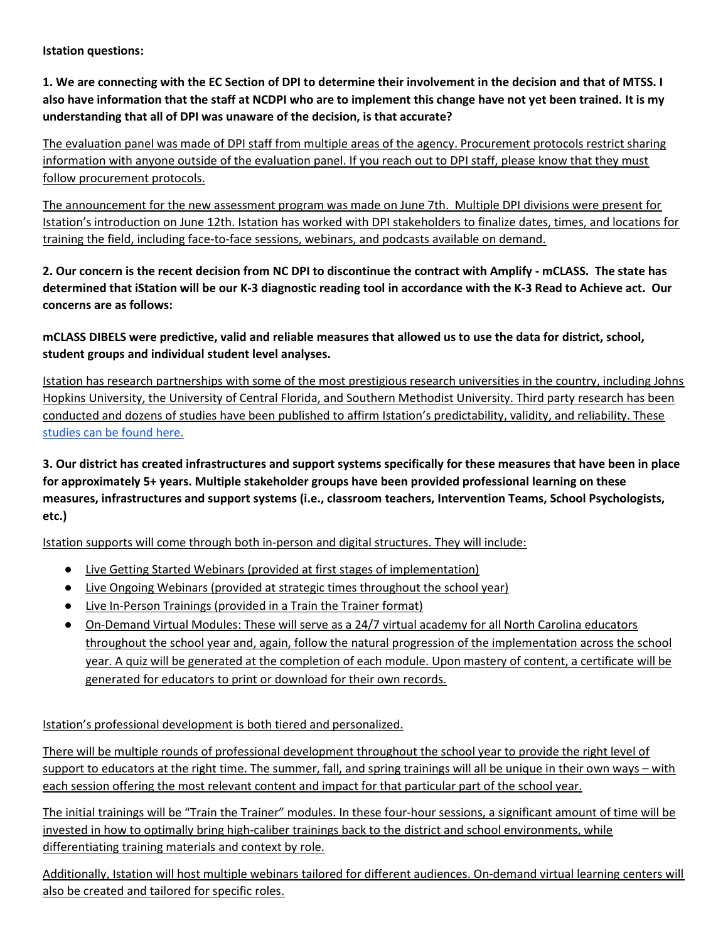Istation questions:

1. We are connecting with the EC Section of DPI to determine their involvement in the decision and that of MTSS. I also have information that the staff at NCDPI who are to implement this change have not yet been trained. It is my understanding that all of DPI was unaware of the decision, is that accurate?

The evaluation panel was made of DPI staff from multiple areas of the agency. Procurement protocols restrict sharing information with anyone outside of the evaluation panel. If you reach out to DPI staff, please know that they must follow procurement protocols.

The announcement for the new assessment program was made on June 7th. Multiple DPI divisions were present for Istation's introduction on June 12th. Istation has worked with DPI stakeholders to finalize dates, times, and locations for training the field, including face-to-face sessions, webinars, and podcasts available on demand.

2. Our concern is the recent decision from NC DPI to discontinue the contract with Amplify - mCLASS. The state has determined that iStation will be our K-3 diagnostic reading tool in accordance with the K-3 Read to Achieve act. Our concerns are as follows:

mCLASS DIBELS were predictive, valid and reliable measures that allowed us to use the data for district, school, student groups and individual student level analyses.

Istation has research partnerships with some of the most prestigious research universities in the country, including Johns Hopkins University, the University of Central Florida, and Southern Methodist University. Third party research has been conducted and dozens of studies have been published to affirm Istation's predictability, validity, and reliability. These studies can be found here.

3. Our district has created infrastructures and support systems specifically for these measures that have been in place for approximately 5+ years. Multiple stakeholder groups have been provided professional learning on these measures, infrastructures and support systems (i.e., classroom teachers, Intervention Teams, School Psychologists, etc.)

Istation supports will come through both in-person and digital structures. They will include:

- Live Getting Started Webinars (provided at first stages of implementation)
- Live Ongoing Webinars (provided at strategic times throughout the school year)
- Live In-Person Trainings (provided in a Train the Trainer format)
- On-Demand Virtual Modules: These will serve as a 24/7 virtual academy for all North Carolina educators throughout the school year and, again, follow the natural progression of the implementation across the school year. A quiz will be generated at the completion of each module. Upon mastery of content, a certificate will be generated for educators to print or download for their own records.

Istation's professional development is both tiered and personalized.

There will be multiple rounds of professional development throughout the school year to provide the right level of support to educators at the right time. The summer, fall, and spring trainings will all be unique in their own ways – with each session offering the most relevant content and impact for that particular part of the school year.

The initial trainings will be "Train the Trainer" modules. In these four-hour sessions, a significant amount of time will be invested in how to optimally bring high-caliber trainings back to the district and school environments, while differentiating training materials and context by role.

Additionally, Istation will host multiple webinars tailored for different audiences. On-demand virtual learning centers will also be created and tailored for specific roles.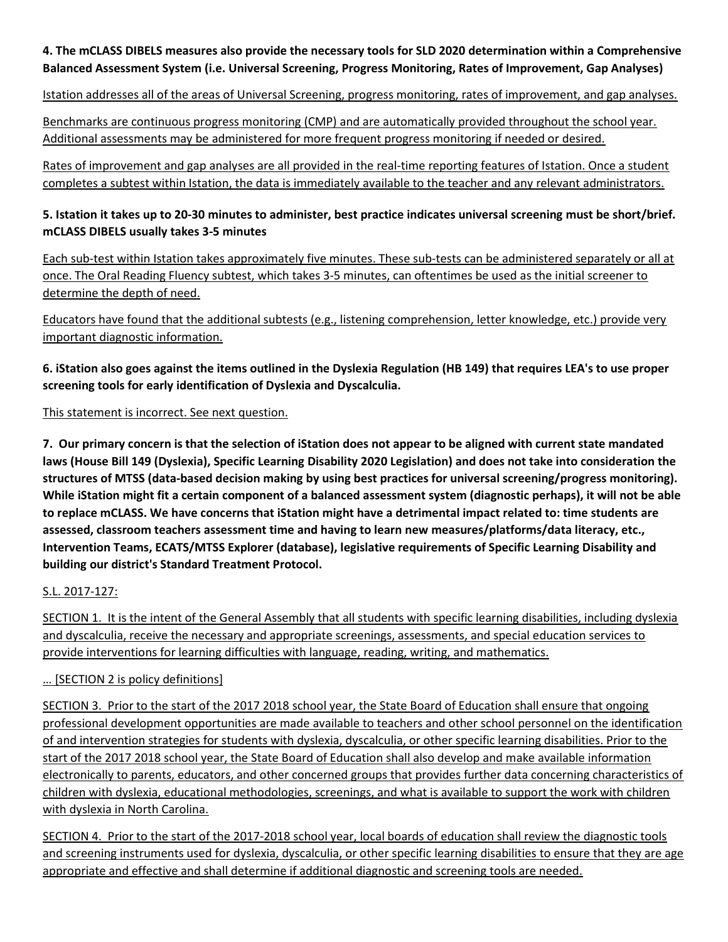#### 4. The mCLASS DIBELS measures also provide the necessary tools for SLD 2020 determination within a Comprehensive Balanced Assessment System (i.e. Universal Screening, Progress Monitoring, Rates of Improvement, Gap Analyses)

Istation addresses all of the areas of Universal Screening, progress monitoring, rates of improvement, and gap analyses.

Benchmarks are continuous progress monitoring (CMP) and are automatically provided throughout the school year. Additional assessments may be administered for more frequent progress monitoring if needed or desired.

Rates of improvement and gap analyses are all provided in the real-time reporting features of Istation. Once a student completes a subtest within Istation, the data is immediately available to the teacher and any relevant administrators.

#### 5. Istation it takes up to 20-30 minutes to administer, best practice indicates universal screening must be short/brief. mCLASS DIBELS usually takes 3-5 minutes

Each sub-test within Istation takes approximately five minutes. These sub-tests can be administered separately or all at once. The Oral Reading Fluency subtest, which takes 3-5 minutes, can oftentimes be used as the initial screener to determine the depth of need.

Educators have found that the additional subtests (e.g., listening comprehension, letter knowledge, etc.) provide very important diagnostic information.

6. iStation also goes against the items outlined in the Dyslexia Regulation (HB 149) that requires LEA's to use proper screening tools for early identification of Dyslexia and Dyscalculia.

This statement is incorrect. See next question.

7. Our primary concern is that the selection of iStation does not appear to be aligned with current state mandated laws (House Bill 149 (Dyslexia), Specific Learning Disability 2020 Legislation) and does not take into consideration the structures of MTSS (data-based decision making by using best practices for universal screening/progress monitoring). While iStation might fit a certain component of a balanced assessment system (diagnostic perhaps), it will not be able to replace mCLASS. We have concerns that iStation might have a detrimental impact related to: time students are assessed, classroom teachers assessment time and having to learn new measures/platforms/data literacy, etc., Intervention Teams, ECATS/MTSS Explorer (database), legislative requirements of Specific Learning Disability and building our district's Standard Treatment Protocol.

# S.L. 2017-127:

SECTION 1. It is the intent of the General Assembly that all students with specific learning disabilities, including dyslexia and dyscalculia, receive the necessary and appropriate screenings, assessments, and special education services to provide interventions for learning difficulties with language, reading, writing, and mathematics.

# … [SECTION 2 is policy definitions]

SECTION 3. Prior to the start of the 2017 2018 school year, the State Board of Education shall ensure that ongoing professional development opportunities are made available to teachers and other school personnel on the identification of and intervention strategies for students with dyslexia, dyscalculia, or other specific learning disabilities. Prior to the start of the 2017 2018 school year, the State Board of Education shall also develop and make available information electronically to parents, educators, and other concerned groups that provides further data concerning characteristics of children with dyslexia, educational methodologies, screenings, and what is available to support the work with children with dyslexia in North Carolina.

SECTION 4. Prior to the start of the 2017-2018 school year, local boards of education shall review the diagnostic tools and screening instruments used for dyslexia, dyscalculia, or other specific learning disabilities to ensure that they are age appropriate and effective and shall determine if additional diagnostic and screening tools are needed.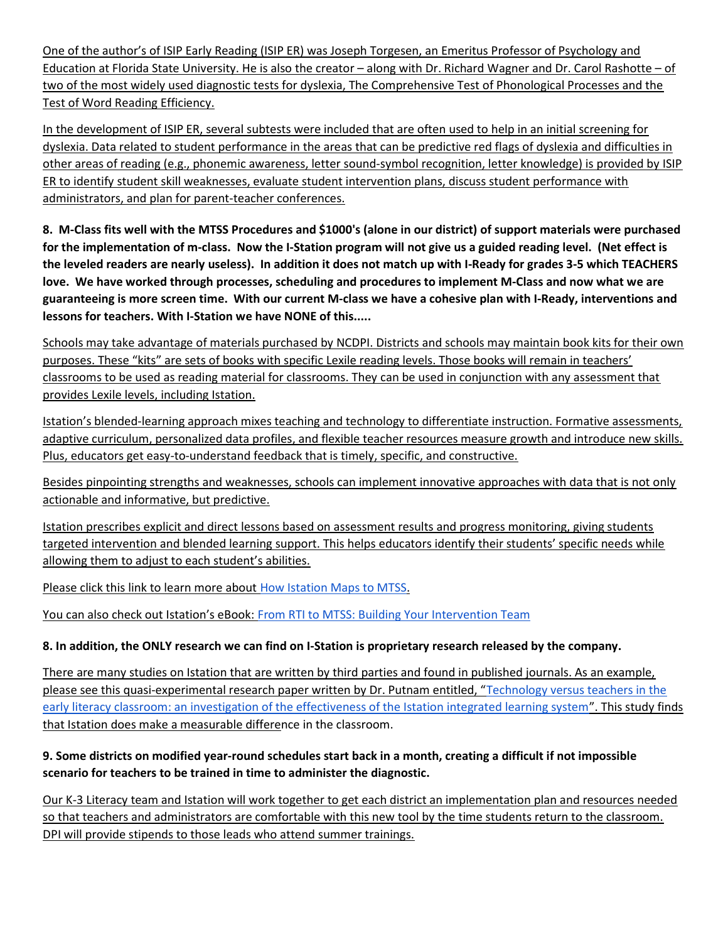One of the author's of ISIP Early Reading (ISIP ER) was Joseph Torgesen, an Emeritus Professor of Psychology and Education at Florida State University. He is also the creator – along with Dr. Richard Wagner and Dr. Carol Rashotte – of two of the most widely used diagnostic tests for dyslexia, The Comprehensive Test of Phonological Processes and the Test of Word Reading Efficiency.

In the development of ISIP ER, several subtests were included that are often used to help in an initial screening for dyslexia. Data related to student performance in the areas that can be predictive red flags of dyslexia and difficulties in other areas of reading (e.g., phonemic awareness, letter sound-symbol recognition, letter knowledge) is provided by ISIP ER to identify student skill weaknesses, evaluate student intervention plans, discuss student performance with administrators, and plan for parent-teacher conferences.

8. M-Class fits well with the MTSS Procedures and \$1000's (alone in our district) of support materials were purchased for the implementation of m-class. Now the I-Station program will not give us a guided reading level. (Net effect is the leveled readers are nearly useless). In addition it does not match up with I-Ready for grades 3-5 which TEACHERS love. We have worked through processes, scheduling and procedures to implement M-Class and now what we are guaranteeing is more screen time. With our current M-class we have a cohesive plan with I-Ready, interventions and lessons for teachers. With I-Station we have NONE of this.....

Schools may take advantage of materials purchased by NCDPI. Districts and schools may maintain book kits for their own purposes. These "kits" are sets of books with specific Lexile reading levels. Those books will remain in teachers' classrooms to be used as reading material for classrooms. They can be used in conjunction with any assessment that provides Lexile levels, including Istation.

Istation's blended-learning approach mixes teaching and technology to differentiate instruction. Formative assessments, adaptive curriculum, personalized data profiles, and flexible teacher resources measure growth and introduce new skills. Plus, educators get easy-to-understand feedback that is timely, specific, and constructive.

Besides pinpointing strengths and weaknesses, schools can implement innovative approaches with data that is not only actionable and informative, but predictive.

Istation prescribes explicit and direct lessons based on assessment results and progress monitoring, giving students targeted intervention and blended learning support. This helps educators identify their students' specific needs while allowing them to adjust to each student's abilities.

Please click this link to learn more about How Istation Maps to MTSS.

You can also check out Istation's eBook: From RTI to MTSS: Building Your Intervention Team

# 8. In addition, the ONLY research we can find on I-Station is proprietary research released by the company.

There are many studies on Istation that are written by third parties and found in published journals. As an example, please see this quasi-experimental research paper written by Dr. Putnam entitled, "Technology versus teachers in the early literacy classroom: an investigation of the effectiveness of the Istation integrated learning system". This study finds that Istation does make a measurable difference in the classroom.

# 9. Some districts on modified year-round schedules start back in a month, creating a difficult if not impossible scenario for teachers to be trained in time to administer the diagnostic.

Our K-3 Literacy team and Istation will work together to get each district an implementation plan and resources needed so that teachers and administrators are comfortable with this new tool by the time students return to the classroom. DPI will provide stipends to those leads who attend summer trainings.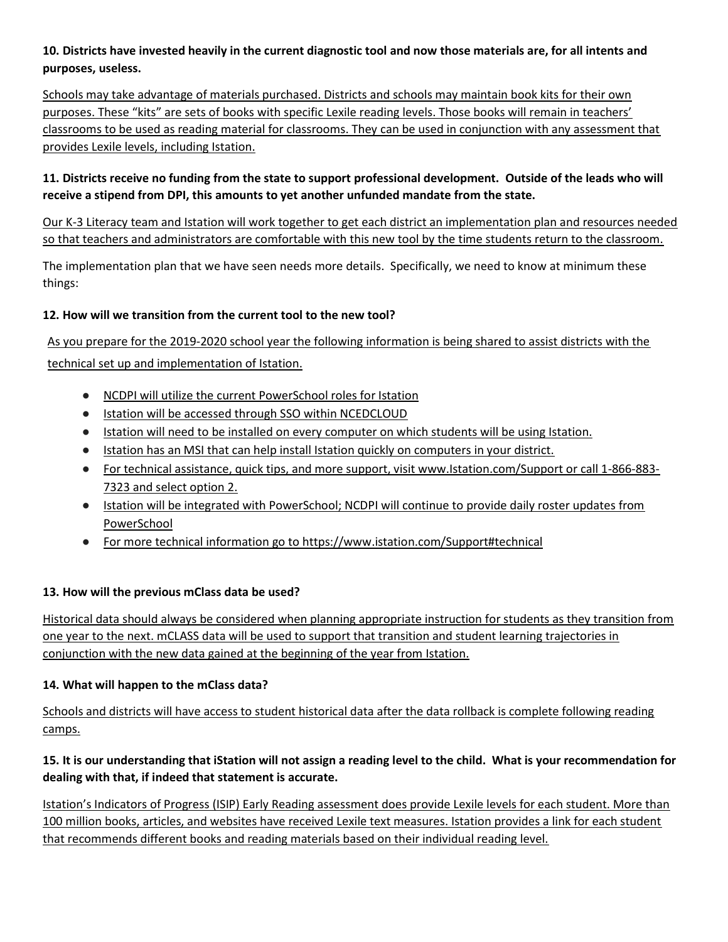#### 10. Districts have invested heavily in the current diagnostic tool and now those materials are, for all intents and purposes, useless.

Schools may take advantage of materials purchased. Districts and schools may maintain book kits for their own purposes. These "kits" are sets of books with specific Lexile reading levels. Those books will remain in teachers' classrooms to be used as reading material for classrooms. They can be used in conjunction with any assessment that provides Lexile levels, including Istation.

# 11. Districts receive no funding from the state to support professional development. Outside of the leads who will receive a stipend from DPI, this amounts to yet another unfunded mandate from the state.

Our K-3 Literacy team and Istation will work together to get each district an implementation plan and resources needed so that teachers and administrators are comfortable with this new tool by the time students return to the classroom.

The implementation plan that we have seen needs more details. Specifically, we need to know at minimum these things:

# 12. How will we transition from the current tool to the new tool?

As you prepare for the 2019-2020 school year the following information is being shared to assist districts with the technical set up and implementation of Istation.

- NCDPI will utilize the current PowerSchool roles for Istation
- Istation will be accessed through SSO within NCEDCLOUD
- Istation will need to be installed on every computer on which students will be using Istation.
- Istation has an MSI that can help install Istation quickly on computers in your district.
- For technical assistance, quick tips, and more support, visit www.Istation.com/Support or call 1-866-883-7323 and select option 2.
- Istation will be integrated with PowerSchool; NCDPI will continue to provide daily roster updates from PowerSchool
- For more technical information go to https://www.istation.com/Support#technical

# 13. How will the previous mClass data be used?

Historical data should always be considered when planning appropriate instruction for students as they transition from one year to the next. mCLASS data will be used to support that transition and student learning trajectories in conjunction with the new data gained at the beginning of the year from Istation.

# 14. What will happen to the mClass data?

Schools and districts will have access to student historical data after the data rollback is complete following reading camps.

# 15. It is our understanding that iStation will not assign a reading level to the child. What is your recommendation for dealing with that, if indeed that statement is accurate.

Istation's Indicators of Progress (ISIP) Early Reading assessment does provide Lexile levels for each student. More than 100 million books, articles, and websites have received Lexile text measures. Istation provides a link for each student that recommends different books and reading materials based on their individual reading level.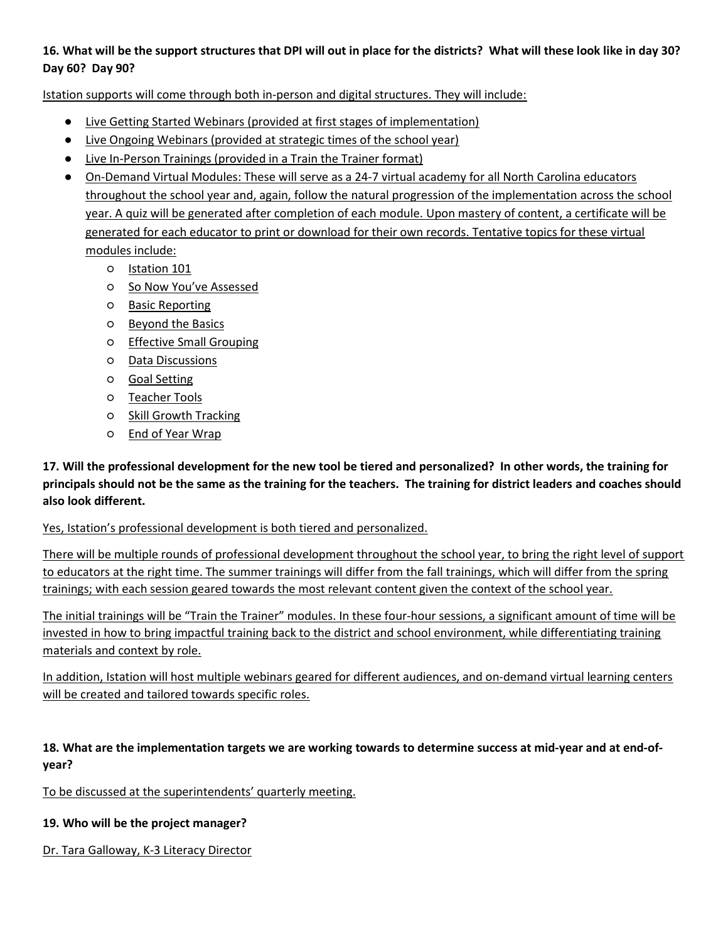#### 16. What will be the support structures that DPI will out in place for the districts? What will these look like in day 30? Day 60? Day 90?

Istation supports will come through both in-person and digital structures. They will include:

- Live Getting Started Webinars (provided at first stages of implementation)
- Live Ongoing Webinars (provided at strategic times of the school year)
- Live In-Person Trainings (provided in a Train the Trainer format)
- On-Demand Virtual Modules: These will serve as a 24-7 virtual academy for all North Carolina educators throughout the school year and, again, follow the natural progression of the implementation across the school year. A quiz will be generated after completion of each module. Upon mastery of content, a certificate will be generated for each educator to print or download for their own records. Tentative topics for these virtual modules include:
	- Istation 101
	- o So Now You've Assessed
	- Basic Reporting
	- Beyond the Basics
	- Effective Small Grouping
	- Data Discussions
	- Goal Setting
	- Teacher Tools
	- Skill Growth Tracking
	- End of Year Wrap

17. Will the professional development for the new tool be tiered and personalized? In other words, the training for principals should not be the same as the training for the teachers. The training for district leaders and coaches should also look different.

Yes, Istation's professional development is both tiered and personalized.

There will be multiple rounds of professional development throughout the school year, to bring the right level of support to educators at the right time. The summer trainings will differ from the fall trainings, which will differ from the spring trainings; with each session geared towards the most relevant content given the context of the school year.

The initial trainings will be "Train the Trainer" modules. In these four-hour sessions, a significant amount of time will be invested in how to bring impactful training back to the district and school environment, while differentiating training materials and context by role.

In addition, Istation will host multiple webinars geared for different audiences, and on-demand virtual learning centers will be created and tailored towards specific roles.

#### 18. What are the implementation targets we are working towards to determine success at mid-year and at end-ofyear?

To be discussed at the superintendents' quarterly meeting.

#### 19. Who will be the project manager?

Dr. Tara Galloway, K-3 Literacy Director